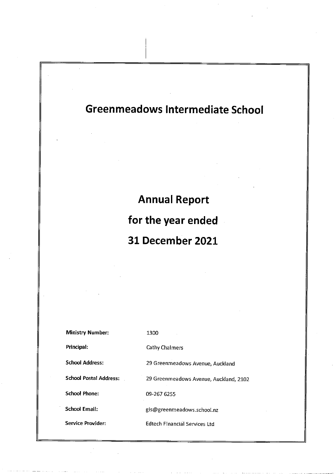**Annual Report** for the year ended 31 December 2021

| <b>Ministry Number:</b>       | 1300                                   |
|-------------------------------|----------------------------------------|
| Principal:                    | Cathy Chalmers                         |
| <b>School Address:</b>        | 29 Greenmeadows Avenue, Auckland       |
| <b>School Postal Address:</b> | 29 Greenmeadows Avenue, Auckland, 2102 |
| <b>School Phone:</b>          | 09-267 6255                            |
| School Email:                 | gis@greenmeadows.school.nz             |
| Service Provider:             | <b>Edtech Financial Services Ltd</b>   |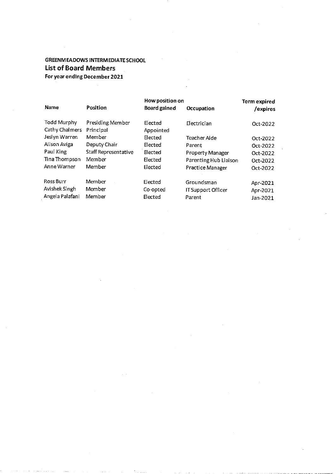# **GREENMEADOWS INTERMEDIATE SCHOOL List of Board Members** For year ending December 2021

| <b>Name</b>                          | Position                      | How position on<br><b>Board gained</b> | Occupation                | <b>Term expired</b><br>/expires |
|--------------------------------------|-------------------------------|----------------------------------------|---------------------------|---------------------------------|
| <b>Todd Murphy</b><br>Cathy Chalmers | Presiding Member<br>Principal | Elected<br>Appointed                   | Electrician               | Oct-2022                        |
| Jeslyn Warren                        | Member                        | Elected                                | Teacher Aide              | Oct-2022                        |
| Alison Aviga                         | Deputy Chair                  | Elected                                | Parent                    | Oct-2022                        |
| Paul King                            | Staff Representative          | Elected                                | <b>Property Manager</b>   | Oct-2022                        |
| Tina Thompson                        | Member                        | Elected                                | Parenting Hub Liaison     | Oct-2022                        |
| Anne Warner                          | Member                        | Elected                                | Practice Manager          | Oct-2022                        |
| <b>Ross Burr</b>                     | Member                        | Elected                                | Groundsman                | Apr-2021                        |
| Avishek Singh                        | Member                        | Co-opted                               | <b>IT Support Officer</b> | Apr-2021                        |
| Angela Palafani                      | Member                        | Elected                                | Parent                    | Jan-2021                        |

 $\omega_{\rm c}$  .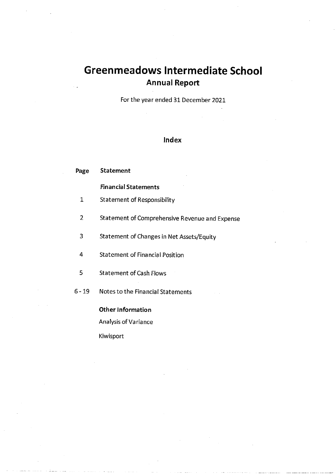# **Greenmeadows Intermediate School Annual Report**

For the year ended 31 December 2021

# Index

| Page   | <b>Statement</b>                               |
|--------|------------------------------------------------|
|        | <b>Financial Statements</b>                    |
| 1      | Statement of Responsibility                    |
| 2      | Statement of Comprehensive Revenue and Expense |
| 3      | Statement of Changes in Net Assets/Equity      |
| 4      | <b>Statement of Financial Position</b>         |
| 5      | <b>Statement of Cash Flows</b>                 |
| 6 - 19 | Notes to the Financial Statements              |
|        | <b>Other Information</b>                       |
|        | <b>Analysis of Variance</b>                    |

Kiwisport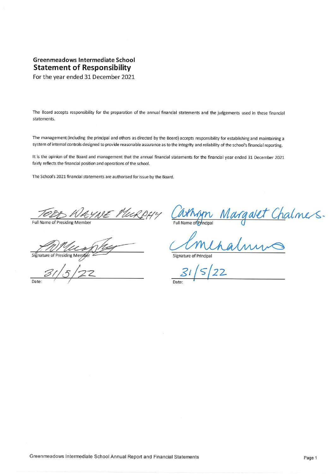# Greenmeadows Intermediate School **Statement of Responsibility**

For the year ended 31 December 2021

The Board accepts responsibility for the preparation of the annual financial statements and the judgements used in these financial statements.

The management (including the principal and others as directed by the Board) accepts responsibility for establishing and maintaining a system of internal controls designed to provide reasonable assurance as to the integrity and reliability of the school's financial reporting.

It is the opinion of the Board and management that the annual financial statements for the financial year ended 31 December 2021 fairly reflects the financial position and operations of the school.

The School's 2021 financial statements are authorised for issue by the Board.

MURPHY

Full Name of Presiding Member

Signature of Presiding Member

Date

Cathyn Margaret Chalmers.

Signature of Principal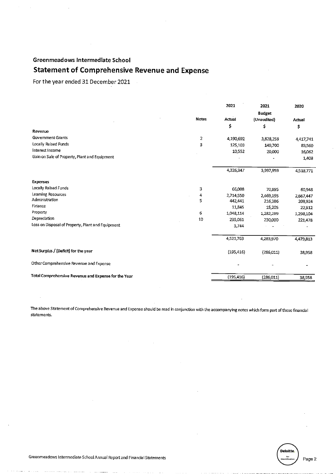# **Statement of Comprehensive Revenue and Expense**

 $\hat{\mathcal{A}}$ 

For the year ended 31 December 2021

|                                                      |              | 2021       | 2021<br><b>Budget</b> | 2020      |
|------------------------------------------------------|--------------|------------|-----------------------|-----------|
|                                                      | <b>Notes</b> | Actual     | (Unaudited)           | Actual    |
|                                                      |              | \$         | \$                    | \$        |
| Revenue                                              |              |            |                       |           |
| <b>Government Grants</b>                             | 2            | 4,190,692  | 3,828,259             | 4,417,741 |
| Locally Raised Funds                                 | 3            | 125,103    | 149,700               | 83,560    |
| Interest Income                                      |              | 10,552     | 20,000                | 16,062    |
| Gain on Sale of Property, Plant and Equipment        |              |            |                       | 1,408     |
|                                                      |              | 4,326,347  | 3,997,959             | 4,518,771 |
| Expenses                                             |              |            |                       |           |
| Locally Raised Funds                                 | 3            | 66,008     | 70,895                | 60,948    |
| Learning Resources                                   | 4            | 2,714,550  | 2,469,195             | 2,667,447 |
| Administration                                       | 5            | 442,441    | 216,386               | 208,924   |
| Finance                                              |              | 11,845     | 15,205                | 22.912    |
| Property                                             | 6            | 1,048,114  | 1,282,289             | 1,298,104 |
| Depreciation                                         | 10           | 235,061    | 230,000               | 221,478   |
| Loss on Disposal of Property, Plant and Equipment    |              | 3,744      |                       |           |
|                                                      |              | 4,521,763  | 4,283,970             | 4,479,813 |
| Net Surplus / (Deficit) for the year                 |              | (195, 416) | (286,011)             | 38,958    |
| Other Comprehensive Revenue and Expense              |              |            |                       |           |
| Total Comprehensive Revenue and Expense for the Year |              | (195, 416) | (286,011)             | 38,958    |

The above Statement of Comprehensive Revenue and Expense should be read in conjunction with the accompanying notes which form part of these financial statements.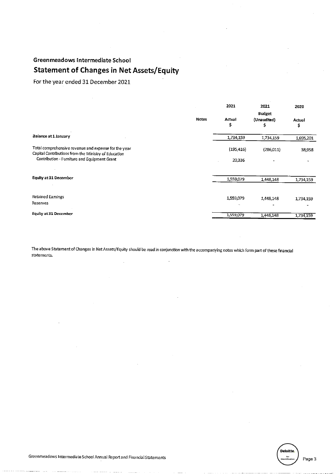# Greenmeadows Intermediate School **Statement of Changes in Net Assets/Equity**

For the year ended 31 December 2021

|                                                                                                              |       | 2021         | 2021                              | 2020         |
|--------------------------------------------------------------------------------------------------------------|-------|--------------|-----------------------------------|--------------|
|                                                                                                              | Notes | Actual<br>\$ | <b>Budget</b><br>(Unaudited)<br>s | Actual<br>\$ |
| Balance at 1 January                                                                                         |       | 1,734,159    | 1,734,159                         | 1,695,201    |
| Total comprehensive revenue and expense for the year<br>Capital Contributions from the Ministry of Education |       | (195, 416)   | (286,011)                         | 38,958       |
| Contribution - Furniture and Equipment Grant                                                                 |       | 20,336       |                                   |              |
| <b>Equity at 31 December</b>                                                                                 |       | 1,559,079    | 1,448,148                         | 1,734,159    |
|                                                                                                              |       |              |                                   |              |
| Retained Eamings<br>Reserves                                                                                 |       | 1,559,079    | 1,448,148                         | 1,734,159    |
| Equity at 31 December                                                                                        |       | 1,559,079    | 1,448,148                         | 1,734,159    |

The above Statement of Changes in Net Assets/Equity should be read in conjunction with the accompanying notes which form part of these financial statements.

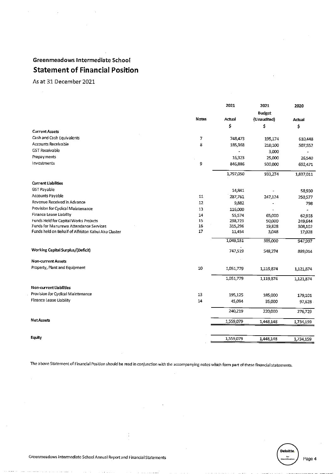# Greenmeadows Intermediate School **Statement of Financial Position**

As at 31 December 2021

|                                                     |       | 2021      | 2021          | 2020      |
|-----------------------------------------------------|-------|-----------|---------------|-----------|
|                                                     |       |           | <b>Budget</b> |           |
|                                                     | Notes | Actual    | (Unaudited)   | Actual    |
|                                                     |       | \$        | \$            | \$        |
| <b>Current Assets</b>                               |       |           |               |           |
| Cash and Cash Equivalents                           | 7     | 748,473   | 195,174       | 610,448   |
| Accounts Receivable                                 | 8     | 185,368   | 210,100       | 507,552   |
| <b>GST Receivable</b>                               |       |           | 3,000         |           |
| Prepayments                                         |       | 16,323    | 25,000        | 26,540    |
| Investments                                         | 9     | 846,886   | 500,000       | 692,471   |
|                                                     |       | 1,797,050 | 933,274       | 1,837,011 |
| <b>Current Liabilities</b>                          |       |           |               |           |
| <b>GST Payable</b>                                  |       | 14,841    |               | 58,930    |
| Accounts Payable                                    | 11    | 287,761   | 247,124       | 250 577   |
| Revenue Received in Advance                         | 12    | 9,882     |               | 798       |
| Provision for Cyclical Maintenance                  | 13    | 116,000   |               |           |
| Finance Lease Liability                             | 14    | 55,574    | 65,000        | 62,918    |
| Funds Held for Capital Works Projects               | 15    | 238,723   | 50,000        | 249,644   |
| Funds for Manurewa Attendance Services              | 16    | 315,296   | 19,828        | 308,102   |
| Funds held on Behalf of Alfriston Kahui Ako Cluster | 17    | 11,454    | 3,048         | 17,028    |
|                                                     |       | 1,049,531 | 385,000       | 947,997   |
| <b>Working Capital Surplus/(Deficit)</b>            |       | 747,519   | 548,274       | 889,014   |
| Non-current Assets                                  |       |           |               |           |
| Property, Plant and Equipment                       | 10    | 1,051,779 | 1,119,874     | 1,121,874 |
|                                                     |       | 1,051,779 | 1,119,874     | 1,121,874 |
| <b>Non-current Liabilities</b>                      |       |           |               |           |
| Provision for Cyclical Maintenance                  | 13    | 195,125   | 185,000       | 179,101   |
| Finance Lease Liability                             | 14    | 45,094    | 35,000        | 97,628    |
|                                                     |       | 240,219   | 220,000       | 276,729   |
| <b>Net Assets</b>                                   |       | 1,559,079 | 1,448,148     | 1,734,159 |
|                                                     |       |           |               |           |
| <b>Equity</b>                                       |       | 1,559,079 | 1,448,148     | 1,734,159 |

The above Statement of Financial Position should be read in conjunction with the accompanying notes which form part of these financial statements.

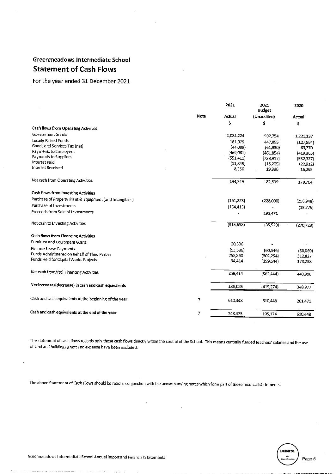# **Greenmeadows Intermediate School Statement of Cash Flows**

# For the year ended 31 December 2021

|                                                          |      | 2021       | 2021<br><b>Budget</b>  | 2020               |
|----------------------------------------------------------|------|------------|------------------------|--------------------|
|                                                          | Note | Actual     | (Unaudited)            | Actual             |
|                                                          |      | \$         | \$                     | \$                 |
| Cash flows from Operating Activities                     |      |            |                        |                    |
| <b>Government Grants</b>                                 |      | 1,081,224  | 992,754                | 1,221,137          |
| Locally Raised Funds                                     |      | 181,075    | 447,855                | (127, 894)         |
| Goods and Services Tax (net)                             |      | (44,089)   | (61,930)               | 63,770             |
| Payments to Employees                                    |      | (469,061)  | (461,854)              | (419,365)          |
| Payments to Suppliers                                    |      | (551, 411) | (738,917)              | (552,327)          |
| <b>Interest Paid</b>                                     |      | (11,845)   | (15,205)               | (22, 912)          |
| Interest Received                                        |      | 8,356      | 19,996                 | 16,295             |
| Net cash from Operating Activities                       |      | 194,249    | 182,699                | 178.704            |
| Cash flows from Investing Activities                     |      |            |                        |                    |
| Purchase of Property Plant & Equipment (and Intangibles) |      | (161, 223) | (228,000)              | (256, 948)         |
| Purchase of Investments                                  |      | (154, 415) |                        | (13,775)           |
| Proceeds from Sale of Investments                        |      |            | 192,471                |                    |
| Net cash to Investing Activities                         |      | (315, 638) | (35, 529)              | (270, 723)         |
| Cash flows from Financing Activities                     |      |            |                        |                    |
| Furniture and Equipment Grant                            |      | 20,336     |                        |                    |
| <b>Finance Lease Payments</b>                            |      | (53, 686)  |                        |                    |
| Funds Administered on Behalf of Third Parties            |      | 258,350    | (60.546)<br>(302, 254) | (50,069)           |
| Funds Held for Capital Works Projects                    |      | 34,414     | (199, 644)             | 312,827<br>178,238 |
| Net cash from/(to) Financing Activities                  |      | 259,414    | (562, 444)             | 440,996            |
|                                                          |      |            |                        |                    |
| Net increase/(decrease) in cash and cash equivalents     |      | 138,025    | (415, 274)             | 348,977            |
| Cash and cash equivalents at the beginning of the year   | 7    | 610,448    | 610,448                | 261,471            |
| Cash and cash equivalents at the end of the year         | 7    | 748,473    | 195,174                | 610,448            |
|                                                          |      |            |                        |                    |

The statement of cash flows records only those cash flows directly within the control of the School. This means centrally funded teachers' salaries and the use of land and buildings grant and expense have been excluded.

The above Statement of Cash Flows should be read in conjunction with the accompanying notes which form part of these financial statements.

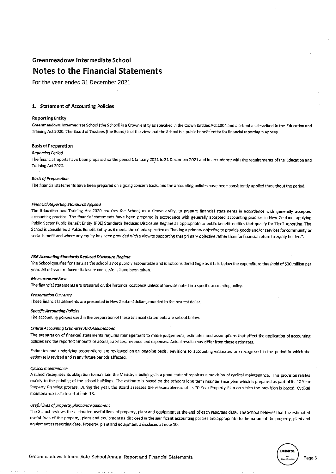# **Notes to the Financial Statements**

For the year ended 31 December 2021

## 1. Statement of Accounting Policies

## **Reporting Entity**

Greenmeadows Intermediate School (the School) is a Crown entity as specified in the Crown Entities Act 2004 and a school as described in the Education and Training Act 2020. The Board of Trustees (the Board) is of the view that the School is a public benefit entity for financial reporting purposes.

# **Basis of Preparation**

## **Reporting Period**

The financial reports have been prepared for the period 1 January 2021 to 31 December 2021 and in accordance with the requirements of the Education and Training Act 2020.

#### **Basis of Preparation**

The financial statements have been prepared on a going concern basis, and the accounting policies have been consistently applied throughout the period.

#### **Financial Reporting Standards Applied**

The Education and Training Act 2020 requires the School, as a Crown entity, to prepare financial statements in accordance with generally accepted accounting practice. The financial statements have been prepared in accordance with generally accepted accounting practice in New Zealand, applying Public Sector Public Benefit Entity (PBE) Standards Reduced Disclosure Regime as appropriate to public benefit entities that qualify for Tier 2 reporting. The School is considered a Public Benefit Entity as it meets the criteria specified as "having a primary objective to provide goods and/or services for community or social benefit and where any equity has been provided with a view to supporting that primary objective rather than for financial return to equity holders".

#### PBE Accounting Standards Reduced Disclosure Regime

The School qualifies for Tier 2 as the school is not publicly accountable and is not considered large as it falls below the expenditure threshold of \$30 million per year. All relevant reduced disclosure concessions have been taken.

## **Measurement Base**

The financial statements are prepared on the historical cost basis unless otherwise noted in a specific accounting policy.

# **Presentation Currency**

These financial statements are presented in New Zealand dollars, rounded to the nearest dollar.

#### **Specific Accounting Policies**

The accounting policies used in the preparation of these financial statements are set out below.

#### **Critical Accounting Estimates And Assumptions**

The preparation of financial statements requires management to make judgements, estimates and assumptions that affect the application of accounting policies and the reported amounts of assets, liabilities, revenue and expenses. Actual results may differ from these estimates.

Estimates and underlying assumptions are reviewed on an ongoing basis. Revisions to accounting estimates are recognised in the period in which the estimate is revised and in any future periods affected.

#### Cyclical maintenance

A school recognises its obligation to maintain the Ministry's buildings in a good state of repair as a provision of cyclical maintenance. This provision relates mainly to the painting of the school buildings. The estimate is based on the school's long term maintenance plan which is prepared as part of its 10 Year Property Planning process. During the year, the Board assesses the reasonableness of its 10 Year Property Plan on which the provision is based. Cyclical maintenance is disclosed at note 13.

# Useful lives of property, plant and equipment

The School reviews the estimated useful lives of property, plant and equipment at the end of each reporting date. The School believes that the estimated useful lives of the property, plant and equipment as disclosed in the significant accounting policies are appropriate to the nature of the property, plant and equipment at reporting date. Property, plant and equipment is disclosed at note 10.



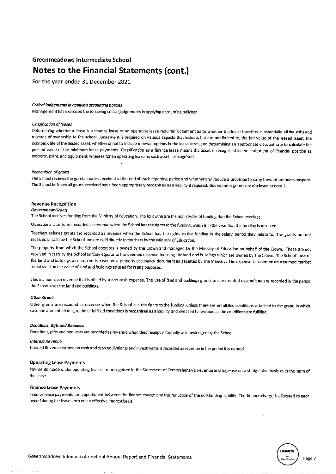# Notes to the Financial Statements (cont.)

For the year ended 31 December 2021

# Critical Judgements in applying accounting policies

Management has exercised the following critical judgements in applying accounting policies:

#### Classification of leases

Determining whether a lease is a finance lease or an operating lease requires judgement as to whether the lease transfers substantially all the risks and rewards of ownership to the school. Judgement is required on various aspects that include, but are not limited to, the fair value of the leased asset, the economic life of the leased asset, whether or not to include renewal options in the lease term, and determining an appropriate discount rate to calculate the present value of the minimum lease payments. Classification as a finance lease means the asset is recognised in the statement of financial position as property, plant, and equipment, whereas for an operating lease no such asset is recognised.

#### Recognition of grants

The School reviews the grants monies received at the end of each reporting period and whether any require a provision to carry forward amounts unspent. The School believes all grants received have been appropriately recognised as a liability if required. Government grants are disclosed at note 2.

#### **Revenue Recognition**

#### **Government Grants**

The School receives funding from the Ministry of Education. The following are the main types of funding that the School receives.

Operational grants are recorded as revenue when the School has the rights to the funding, which is in the year that the funding is received.

Teachers salaries grants are recorded as revenue when the School has the rights to the funding in the salary period they relate to. The grants are not received in cash by the School and are paid directly to teachers by the Ministry of Education.

The property from which the School operates is owned by the Crown and managed by the Ministry of Education on behalf of the Crown. These are not received in cash by the School as they equate to the deemed expense for using the land and buildings which are owned by the Crown. The School's use of the land and buildings as occupant is based on a property occupancy document as gazetted by the Ministry. The expense is based on an assumed market rental yield on the value of land and buildings as used for rating purposes.

This is a non-cash revenue that is offset by a non-cash expense. The use of land and buildings grants and associated expenditure are recorded in the period the School uses the land and buildings.

#### **Other Grants**

Other grants are recorded as revenue when the School has the rights to the funding, unless there are unfulfilled conditions attached to the grant, in which case the amount relating to the unfulfilled conditions is recognised as a liability and released to revenue as the conditions are fulfilled.

#### **Donations, Gifts and Bequests**

Donations, gifts and bequests are recorded as revenue when their receipt is formally acknowledged by the School.

## **Interest Revenue**

Interest Revenue earned on cash and cash equivalents and investments is recorded as revenue in the period it is eamed.

## **Operating Lease Payments**

Payments made under operating leases are recognised in the Statement of Comprehensive Revenue and Expense on a straight line basis over the term of the lease.

#### **Finance Lease Payments**

Finance lease payments are apportioned between the finance charge and the reduction of the outstanding liability. The finance charge is allocated to each period during the lease term on an effective interest basis.

Page 7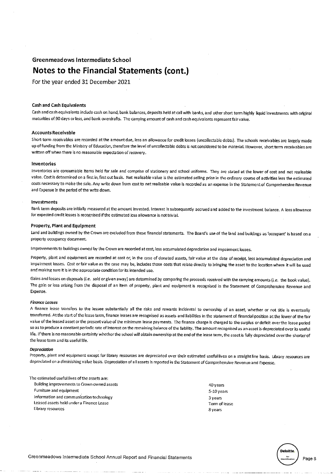# Notes to the Financial Statements (cont.)

For the year ended 31 December 2021

#### **Cash and Cash Equivalents**

Cash and cash equivalents include cash on hand, bank balances, deposits held at call with banks, and other short term highly liquid investments with original maturities of 90 days or less, and bank overdrafts. The carrying amount of cash and cash equivalents represent fair value.

# **Accounts Receivable**

Short-term receivables are recorded at the amount due, less an allowance for credit losses (uncollectable debts). The schools receivables are largely made up of funding from the Ministry of Education, therefore the level of uncollectable debts is not considered to be material. However, short term receivables are written off when there is no reasonable expectation of recovery.

## Inventories

Inventories are consumable items held for sale and comprise of stationery and school uniforms. They are stated at the lower of cost and net realisable value. Cost is determined on a first in, first out basis. Net realisable value is the estimated selling price in the ordinary course of activities less the estimated costs necessary to make the sale. Any write down from cost to net realisable value is recorded as an expense in the Statement of Comprehensive Revenue and Expense in the period of the write down.

#### Investments

Bank term deposits are initially measured at the amount invested. Interest is subsequently accrued and added to the investment balance. A loss allowance for expected credit losses is recognised if the estimated loss allowance is not trivial.

## Property, Plant and Equipment

Land and buildings owned by the Crown are excluded from these financial statements. The Board's use of the land and buildings as 'occupant' is based on a property occupancy document.

Improvements to buildings owned by the Crown are recorded at cost, less accumulated depreciation and impairment losses.

Property, plant and equipment are recorded at cost or, in the case of donated assets, fair value at the date of receipt, less accumulated depreciation and impairment losses. Cost or fair value as the case may be, includes those costs that relate directly to bringing the asset to the location where it will be used and making sure it is in the appropriate condition for its intended use.

Gains and losses on disposals (i.e. sold or given away) are determined by comparing the proceeds received with the carrying amounts (i.e. the book value). The gain or loss arising from the disposal of an item of property, plant and equipment is recognised in the Statement of Comprehensive Revenue and Expense.

#### **Finance Leases**

A finance lease transfers to the lessee substantially all the risks and rewards incidental to ownership of an asset, whether or not title is eventually transferred. At the start of the lease term, finance leases are recognised as assets and liabilities in the statement of financial position at the lower of the fair value of the leased asset or the present value of the minimum lease payments. The finance charge is charged to the surplus or deficit over the lease period so as to produce a constant periodic rate of interest on the remaining balance of the liability. The amount recognised as an asset is depreciated over its useful life. If there is no reasonable certainty whether the school will obtain ownership at the end of the lease term, the asset is fully depreciated over the shorter of the lease term and its useful life.

#### Depreciation

Property, plant and equipment except for library resources are depreciated over their estimated useful lives on a straight line basis. Library resources are depreciated on a diminishing value basis. Depreciation of all assets is reported in the Statement of Comprehensive Revenue and Expense.

The estimated useful lives of the assets are: Building improvements to Crown owned assets Furniture and equipment Information and communication technology Leased assets held under a Finance Lease Library resources

40 years 5-10 years 3 years Term of lease 8 vears



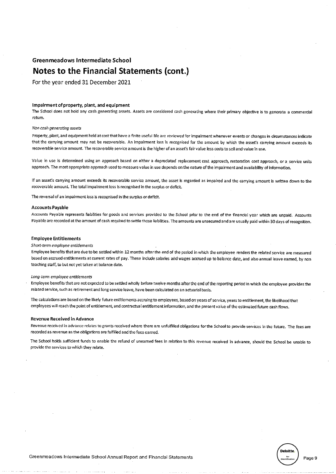# Notes to the Financial Statements (cont.)

For the year ended 31 December 2021

#### Impairment of property, plant, and equipment

The School does not hold any cash generating assets. Assets are considered cash generating where their primary objective is to generate a commercial return.

## Non cash generating assets

Property, plant, and equipment held at cost that have a finite useful life are reviewed for impairment whenever events or changes in circumstances indicate that the carrying amount may not be recoverable. An impairment loss is recognised for the amount by which the asset's carrying amount exceeds its recoverable service amount. The recoverable service amount is the higher of an asset's fair value less costs to sell and value in use.

Value in use is determined using an approach based on either a depreciated replacement cost approach, restoration cost approach, or a service units approach. The most appropriate approach used to measure value in use depends on the nature of the impairment and availability of information.

If an asset's carrying amount exceeds its recoverable service amount, the asset is regarded as impaired and the carrying amount is written down to the recoverable amount. The total impairment loss is recognised in the surplus or deficit.

The reversal of an impairment loss is recognised in the surplus or deficit.

## **Accounts Pavable**

Accounts Payable represents liabilities for goods and services provided to the School prior to the end of the financial year which are unpaid. Accounts Payable are recorded at the amount of cash required to settle those liabilities. The amounts are unsecured and are usually paid within 30 days of recognition.

## **Employee Entitlements**

## Short-term employee entitlements

Employee benefits that are due to be settled within 12 months after the end of the period in which the employee renders the related service are measured based on accrued entitlements at current rates of pay. These include salaries and wages accrued up to balance date, and also annual leave earned, by non teaching staff, to but not yet taken at balance date.

#### Long-term employee entitiements

Employee benefits that are not expected to be settled wholly before twelve months after the end of the reporting period in which the employee provides the related service, such as retirement and long service leave, have been calculated on an actuarial basis.

The calculations are based on the likely future entitlements accruing to employees, based on years of service, years to entitlement, the likelihood that employees will reach the point of entitlement, and contractual entitlement information, and the present value of the estimated future cash flows.

#### Revenue Received in Advance

Revenue received in advance relates to grants received where there are unfulfilled obligations for the School to provide services in the future. The fees are recorded as revenue as the obligations are fulfilled and the fees earned.

The School holds sufficient funds to enable the refund of unearned fees in relation to this revenue received in advance, should the School be unable to provide the services to which they relate.

Page 9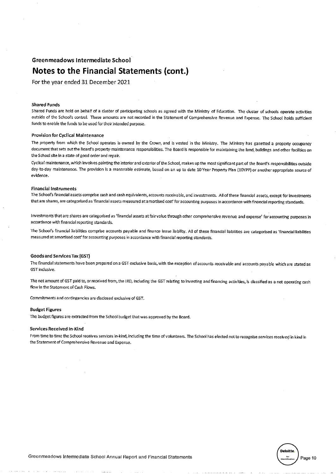# Notes to the Financial Statements (cont.)

For the year ended 31 December 2021

## **Shared Funds**

Shared Funds are held on behalf of a cluster of participating schools as agreed with the Ministry of Education. The cluster of schools operate activities outside of the School's control. These amounts are not recorded in the Statement of Comprehensive Revenue and Expense. The School holds sufficient funds to enable the funds to be used for their intended purpose.

## Provision for Cyclical Maintenance

The property from which the School operates is owned by the Crown, and is vested in the Ministry. The Ministry has gazetted a property occupancy document that sets out the Board's property maintenance responsibilities. The Board is responsible for maintaining the land, buildings and other facilities on the School site in a state of good order and repair.

Cyclical maintenance, which involves painting the interior and exterior of the School, makes up the most significant part of the Board's responsibilities outside day-to-day maintenance. The provision is a reasonable estimate, based on an up to date 10 Year Property Plan (10YPP) or another appropriate source of evidence.

## **Financial Instruments**

The School's financial assets comprise cash and cash equivalents, accounts receivable, and investments. All of these financial assets, except for investments that are shares, are categorised as 'financial assets measured at amortised cost' for accounting purposes in accordance with financial reporting standards.

Investments that are shares are categorised as 'financial assets at fair value through other comprehensive revenue and expense' for accounting purposes in accordance with financial reporting standards.

The School's financial liabilities comprise accounts payable and finance lease liability. All of these financial liabilities are categorised as 'financial liabilities measured at amortised cost' for accounting purposes in accordance with financial reporting standards.

## **Goods and Services Tax (GST)**

The financial statements have been prepared on a GST exclusive basis, with the exception of accounts receivable and accounts payable which are stated as GST inclusive.

The net amount of GST paid to, or received from, the IRD, including the GST relating to investing and financing activities, is classified as a net operating cash flow in the Statement of Cash Flows.

Commitments and contingencies are disclosed exclusive of GST.

#### **Budget Figures**

The budget figures are extracted from the School budget that was approved by the Board.

## Services Received In-Kind

From time to time the School receives services in-kind, including the time of volunteers. The School has elected not to recognise services received in kind in the Statement of Comprehensive Revenue and Expense.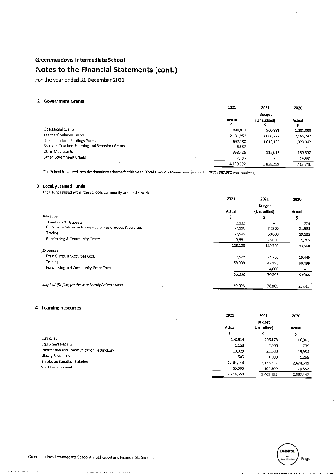# Notes to the Financial Statements (cont.)

For the year ended 31 December 2021

# 2 Government Grants

|                                                 | 2021      | 2021           | 2020      |
|-------------------------------------------------|-----------|----------------|-----------|
|                                                 |           | <b>Budget</b>  |           |
|                                                 | Actual    | (Unaudited)    | Actual    |
| Operational Grants                              | 990.012   | 900,881        | 1,031,359 |
| Teachers' Salaries Grants                       | 2,131,951 | 1,805,222      | 2,165,737 |
| Use of Land and Buildings Grants                | 697.180   | 1,010,139      | 1,023,097 |
| Resource Teachers Learning and Behaviour Grants | 5.937     |                |           |
| Other MoE Grants                                | 358,426   | 112,017        | 180,897   |
| Other Government Grants                         | 7,186     | $\blacksquare$ | 16,651    |
|                                                 | 4,190,692 | 3,828,259      | 4,417,741 |

The School has opted in to the donations scheme for this year. Total amount received was \$65,250. (2020: \$67,950 was received)

# 3 Locally Raised Funds

Local funds raised within the School's community are made up of:

|                                                              | 2021    | 2021          | 2020   |
|--------------------------------------------------------------|---------|---------------|--------|
|                                                              |         | <b>Budget</b> |        |
|                                                              | Actual  | (Unaudited)   | Actual |
| Revenue                                                      | \$      | \$            | \$     |
| Donations & Bequests                                         | 2.133   |               | 715    |
| Curriculum related activities - purchase of goods & services | 57,180  | 74,700        | 21,385 |
| Trading                                                      | 51,909  | 50,000        | 59,695 |
| Fundraising & Community Grants                               | 13,881  | 25,000        | 1,765  |
|                                                              | 125,103 | 149,700       | 83,560 |
| <b>Expenses</b>                                              |         |               |        |
| Extra Curricular Activities Costs                            | 7,620   | 24,700        | 10,449 |
| Trading                                                      | 58,388  | 42,195        | 50,499 |
| Fundraising and Community Grant Costs                        |         | 4,000         |        |
|                                                              | 66,008  | 70,895        | 60,948 |
| Surplus/ (Deficit) for the year Locally Raised Funds         | 59,095  | 78,805        | 22,612 |
|                                                              |         |               |        |

# 4 Learning Resources

|                                          | 2021      | 2021          | 2020      |
|------------------------------------------|-----------|---------------|-----------|
|                                          |           | <b>Budget</b> |           |
|                                          | Actual    | (Unaudited)   | Actual    |
|                                          | \$        | \$            | \$        |
| Curricular                               | 170,914   | 206,173       | 100,305   |
| Equipment Repairs                        | 1,153     | 2,000         | 739       |
| Information and Communication Technology | 13,929    | 22,000        | 19,934    |
| Library Resources                        | 803       | 1,500         | 1,268     |
| Employee Benefits - Salaries             | 2,464,146 | 2,133,222     | 2.474.349 |
| Staff Development                        | 63,605    | 104,300       | 70,852    |
|                                          | 2,714,550 | 2,469,195     | 2.667.447 |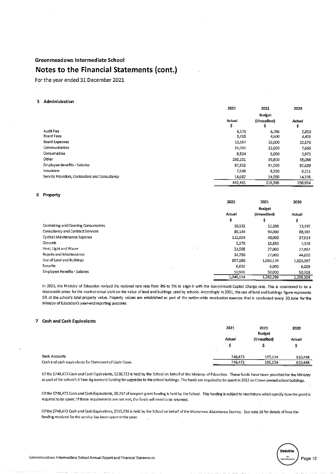# Notes to the Financial Statements (cont.)

For the year ended 31 December 2021

# 5 Administration

|                                                | 2021        | 2021             | 2020         |
|------------------------------------------------|-------------|------------------|--------------|
|                                                |             | <b>Budget</b>    |              |
|                                                | Actual<br>Ş | (Unaudited)<br>s | Actual<br>\$ |
| Audit Fee                                      | 6.171       | 6.786            | 5,850        |
| Board Fees                                     | 3,415       | 4,500            | 4,459        |
| <b>Board Expenses</b>                          | 13,187      | 33,000           | 32,676       |
| Communication                                  | 10,390      | 12,600           | 7,660        |
| Consumables                                    | 9,524       | 5,000            | 3,975        |
| Other                                          | 290,191     | 39,800           | 38,088       |
| <b>Employee Benefits - Salaries</b>            | 87,332      | 91,500           | 92,629       |
| Insurance                                      | 7,549       | 9,200            | 9,211        |
| Service Providers, Contractors and Consultancy | 14.682      | 14,000           | 14,376       |
|                                                | 442,441     | 216,386          | 208,924      |

# 6 Property

| . <b>.</b>                          |           |               |           |
|-------------------------------------|-----------|---------------|-----------|
|                                     | 2021      | 2021          | 2020      |
|                                     |           | <b>Budget</b> |           |
|                                     | Actual    | (Unaudited)   | Actual    |
|                                     | \$        | Ś             | \$        |
| Caretaking and Cleaning Consumables | 10,531    | 12,500        | 13,195    |
| Consultancy and Contract Services   | 89,144    | 94,000        | 88,181    |
| Cyclical Maintenance Expense        | 132,024   | 40,000        | 37.014    |
| Grounds                             | 5,376     | 15,650        | 7,328     |
| Heat, Light and Water               | 21,505    | 27,000        | 27,892    |
| Repairs and Maintenance             | 34,756    | 27,000        | 44,620    |
| Use of Land and Buildings           | 697,180   | 1,010,139     | 1,023,097 |
| Security                            | 6,692     | 6,000         | 6,069     |
| <b>Employee Benefits - Salaries</b> | 50,906    | 50,000        | 50,708    |
|                                     | 1.048.114 | 1,282,289     | 1.298.104 |

In 2021, the Ministry of Education revised the notional rent rate from 8% to 5% to align it with the Government Capital Charge rate. This is considered to be a reasonable proxy for the market rental yield on the value of land and buildings used by schools. Accordingly in 2021, the use of land and buildings figure represents 5% of the school's total property value. Property values are established as part of the nation-wide revaluation exercise that is conducted every 30 June for the Ministry of Education's year-end reporting purposes

## 7 Cash and Cash Equivalents

|                                                       | 2021    | 2021<br>Budget | 2020    |
|-------------------------------------------------------|---------|----------------|---------|
|                                                       | Actual  | (Unaudited)    | Actual  |
| <b>Bank Accounts</b>                                  | 748.473 | 195.174        | 610,448 |
| Cash and cash equivalents for Statement of Cash Flows | 748,473 | 195,174        | 610,448 |

Of the \$748,473 Cash and Cash Equivalents, \$238,723 is held by the School on behalf of the Ministry of Education. These funds have been provided for the Ministry as part of the school's 5 Year Agreement funding for upgrades to the school buildings. The funds are required to be spent in 2022 on Crown owned school buildings.

Of the \$748,473 Cash and Cash Equivalents, \$9,747 of unspent grant funding is held by the School. This funding is subject to restrictions which specify how the grant is required to be spent. If these requirements are not met, the funds will need to be returned.

Of the \$748,473 Cash and Cash Equivalents, \$315,296 is held by the School on behalf of the Manurewa Attendance Service. See note 16 for details of how the funding received for the service has been spent in the year.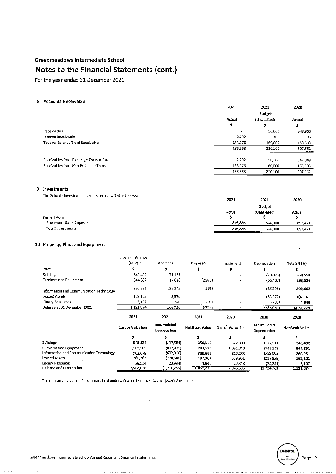# Notes to the Financial Statements (cont.)

For the year ended 31 December 2021

## 8 Accounts Receivable

|                                            | 2021    | 2021        | 2020    |
|--------------------------------------------|---------|-------------|---------|
|                                            |         | Budget      |         |
|                                            | Actual  | (Unaudited) | Actual  |
|                                            | \$      | \$          | \$      |
| Receivables                                | ۰       | 50,000      | 348,953 |
| Interest Receivable                        | 2,292   | 100         | 96      |
| Teacher Salaries Grant Receivable          | 183,076 | 160,000     | 158,503 |
|                                            | 185,368 | 210,100     | 507,552 |
| Receivables from Exchange Transactions     | 2.292   | 50,100      | 349,049 |
| Receivables from Non-Exchange Transactions | 183,076 | 160,000     | 158,503 |
|                                            | 185,368 | 210,100     | 507,552 |
|                                            |         |             |         |

# 9 Investments

The School's investment activities are classified as follows:

|                          | 2021    | 2021          | 2020    |
|--------------------------|---------|---------------|---------|
|                          |         | <b>Budget</b> |         |
|                          | Actual  | (Unaudited)   | Actual  |
| Current Asset            |         |               |         |
| Short-term Bank Deposits | 846 886 | 500,000       | 692,471 |
| Total Investments        | 846 886 | 500,000       | 692.471 |

# 10 Property, Plant and Equipment

|                                             | Opening Balance          |                             |                    |                          |                             |                    |
|---------------------------------------------|--------------------------|-----------------------------|--------------------|--------------------------|-----------------------------|--------------------|
|                                             | (NBV)                    | Additions                   | Disposals          | Impairment               | Depreciation                | Total (NBV)        |
| 2021                                        | s                        | s                           | 5                  | \$                       |                             |                    |
| <b>Buildings</b>                            | 349,492                  | 21,131                      |                    |                          | (20,073)                    | 350,550            |
| Fumiture and Equipment                      | 344,892                  | 17,018                      | (2,977)            |                          | (65, 407)                   | 293,526            |
| Information and Communication Technology    | 260,281                  | 126,245                     | (566)              |                          | (85,298)                    | 300,662            |
| <b>Leased Assets</b>                        | 162,102                  | 3,576                       |                    |                          | (63,577)                    | 102,101            |
| Library Resources                           | 5,107                    | 740                         | (201)              |                          | (706)                       | 4,940              |
| Balance at 31 December 2021                 | 1,121,874                | 168,710                     | (3,744)            |                          | (235,061)                   | <u>1,051,779 </u>  |
|                                             |                          |                             |                    |                          |                             |                    |
|                                             | 2021                     | 2021                        | 2021               | 2020                     | 2020                        | 2020               |
|                                             | <b>Cost or Valuation</b> | Accumulated<br>Depreciation | Net Book Value     | <b>Cost or Valuation</b> | Accumulated<br>Depreciation | Net Book Value     |
|                                             |                          | Ś                           | \$                 | \$                       |                             | Ś                  |
| <b>Buildings</b>                            | 548,134                  | (197,584)                   | 350,550            | 527,003                  | (177, 511)                  | 349,492            |
| Fumiture and Equipment                      | 1,101,505                | (807,979)                   | 293,526            | 1,091,040                | (746, 148)                  | 344,892            |
| Information and Communication Technology    | 902,678                  | (602,016)                   | 300,662            | 819, 283                 | (559,002)                   | 260,281            |
| Leased Assets                               | 380,787                  | (278, 686)                  | 102,101            | 379,961                  | (217,859)                   | 162,102            |
| Library Resources<br>Balance at 31 December | 28,934<br>2,962,038      | (23,994)<br>(1,910,259)     | 4,940<br>1,051,779 | 29,348<br>2,846,635      | (24,241)<br>(1,724,761)     | 5,107<br>1,121,874 |

The net carrying value of equipment held under a finance lease is \$102,101 (2020: \$162,102).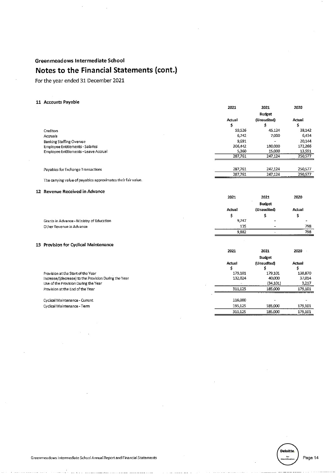For the year ended 31 December 2021

# 11 Accounts Payable

|                                       | 2021    | <b>2021</b>              | <b>ZOZU</b> |
|---------------------------------------|---------|--------------------------|-------------|
|                                       |         | Budget                   |             |
|                                       | Actual  | (Unaudited)              | Actual      |
|                                       | ∍       | s                        | \$          |
| Creditors                             | 59,526  | 45,124                   | 38,142      |
| Accruals                              | 6.742   | 7,000                    | 6,434       |
| <b>Banking Staffing Overuse</b>       | 9.691   | $\overline{\phantom{a}}$ | 20,144      |
| Employee Entitlements - Salaries      | 206.442 | 180,000                  | 172,266     |
| Employee Entitlements - Leave Accrual | 5.360   | 15,000                   | 13,591      |
|                                       | 287.761 | 247,124                  | 250,577     |
|                                       |         |                          |             |
| Payables for Exchange Transactions    | 287,761 | 247,124                  | 250,577     |
|                                       | 287,761 | 247,124                  | 250,577     |
|                                       |         |                          |             |

The carrying value of payables approximates their fair value.

## 12 Revenue Received in Advance

|                                           | 2021          | 2021          | 2020   |
|-------------------------------------------|---------------|---------------|--------|
|                                           |               | <b>Budget</b> |        |
|                                           | <b>Actual</b> | (Unaudited)   | Actual |
|                                           |               |               |        |
| Grants in Advance - Ministry of Education | 9,747         | $\sim$        |        |
| Other Revenue in Advance                  | 135           | $\sim$        | 798    |
|                                           | 0.222         | $\sim$        | 702    |

# 13 Provision for Cyclical Maintenance

|                                                      | 2021        | 2021        | 2020    |
|------------------------------------------------------|-------------|-------------|---------|
|                                                      |             | Budget      |         |
|                                                      | Actual<br>э | (Unaudited) | Actual  |
| Provision at the Start of the Year                   | 179.101     | 179.101     | 138,870 |
| Increase/(decrease) to the Provision During the Year | 132.024     | 40,000      | 37,014  |
| Use of the Provision During the Year                 |             | (34, 101)   | 3,217   |
| Provision at the End of the Year                     | 311.125     | 185,000     | 179,101 |
| Cyclical Maintenance - Current                       | 116,000     |             |         |
| Cyclical Maintenance - Term                          | 195.125     | 185,000     | 179,101 |
|                                                      | 311.125     | 185,000     | 179,101 |



Page 14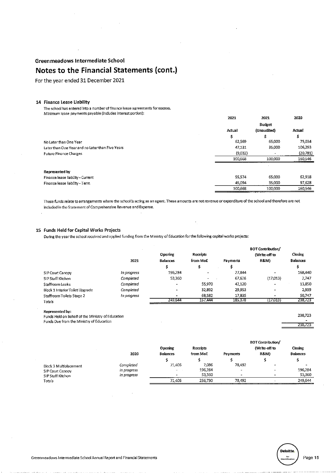For the year ended 31 December 2021

# 14 Finance Lease Liability

The school has entered into a number of finance lease agreements for xxxxxx. Minimum lease payments payable (includes interest portion):

|                                                  | 2021    | 2021        | 2020      |
|--------------------------------------------------|---------|-------------|-----------|
|                                                  |         | Budget      |           |
|                                                  | Actual  | (Unaudited) | Actual    |
|                                                  | \$      | s           | \$        |
| No Later than One Year                           | 62.569  | 65,000      | 75,034    |
| Later than One Year and no Later than Five Years | 47,131  | 35,000      | 106,293   |
| <b>Future Finance Charges</b>                    | (9,032) |             | (20, 781) |
|                                                  | 100,668 | 100,000     | 160,546   |
|                                                  |         |             |           |
| Represented by                                   |         |             |           |
| Finance lease liability - Current                | 55574   | 65.000      | 62,918    |
| Finance lease liability - Term                   | 45,094  | 35.000      | 97,628    |
|                                                  | 100.668 | 100,000     | 160,546   |

These funds relate to arrangements where the school is acting as an agent. These amounts are not revenue or expenditure of the school and therefore are not included in the Statement of Comprehensive Revenue and Expense.

# 15 Funds Held for Capital Works Projects

During the year the school received and applied funding from the Ministry of Education for the following capital works projects:

|                                 |             |                 |           |          | <b>BOT Contribution/</b> |                 |
|---------------------------------|-------------|-----------------|-----------|----------|--------------------------|-----------------|
|                                 |             | Opening         | Receipts  |          | (Write-off to            | Closing         |
|                                 | 2021        | <b>Balances</b> | from MoE  | Payments | <b>R&amp;M)</b>          | <b>Balances</b> |
|                                 |             | e<br>э          |           |          |                          |                 |
| SIP Court Canopy                | in progress | 196,284         | <b>1</b>  | 27.844   |                          | 168,440         |
| SIP Staff Kitchen               | Completed   | 53,360          | <b>**</b> | 67.626   | (17,013)                 | 2,747           |
| Staffroom Leaks                 | Completed   | -               | 55,970    | 42.120   | -                        | 13,850          |
| Block 1 Interior Toilet Upgrade | Completed   | $\bullet$       | 32.892    | 29.953   | -                        | 2,939           |
| Staffroom Toilets Stage 2       | In progress |                 | 68.582    | 17.835   |                          | 50.747          |
| Totals                          |             | 249,644         | 157,444   | 185,378  | (17,013)                 | 238,723         |

Represented by:

Funds Held on Behalf of the Ministry of Education Funds Due from the Ministry of Education

| х. |
|----|
|    |

238,723

|                        |             |                          |          | <b>BOT Contribution/</b> |                          |                 |  |
|------------------------|-------------|--------------------------|----------|--------------------------|--------------------------|-----------------|--|
|                        | 2020        | Opening                  | Receipts |                          | (Write-off to            | Closing         |  |
|                        |             | <b>Balances</b>          | from MoE | Payments                 | <b>R&amp;M)</b>          | <b>Balances</b> |  |
|                        |             |                          |          |                          |                          |                 |  |
| Block 3 Multiplacement | Completed   | 71,406                   | 7.086    | 78.492                   | $\overline{\phantom{0}}$ |                 |  |
| SIP Court Canopy       | in progress | $\overline{\phantom{a}}$ | 196,284  | -                        | $\overline{\phantom{a}}$ | 196.284         |  |
| SIP Staff Kitchen      | In progress |                          | 53,360   |                          | $\overline{\phantom{0}}$ | 53.360          |  |
| Totals                 |             | 71,406                   | 256,730  | 78 492                   | -                        | 249.544         |  |

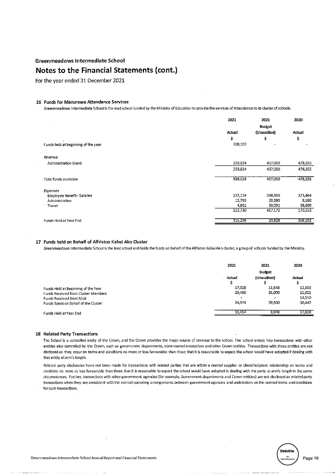For the year ended 31 December 2021

## 16 Funds for Manurewa Attendance Services

Greenmeadows Intermediate School is the lead school funded by the Ministry of Education to provide the services of Attendance to its cluster of schools.

|                                     | 2021    | 2021          | 2020    |
|-------------------------------------|---------|---------------|---------|
|                                     |         | <b>Budget</b> |         |
|                                     | Actual  | (Unaudited)   | Actual  |
|                                     | \$      | \$            | \$      |
| Funds held at beginning of the year | 308,102 | -             |         |
| Revenue                             |         |               |         |
| Administration Grant                | 259,924 | 437,000       | 478,355 |
|                                     | 259,924 | 437,000       | 478,355 |
| Total funds available               | 568,026 | 437,000       | 478,355 |
| Expenses                            |         |               |         |
| Employee Benefit - Salaries         | 232,134 | 348,500       | 123,464 |
| Administration                      | 15,795  | 29,580        | 8,180   |
| Travel                              | 4,801   | 39,092        | 38,609  |
|                                     | 252,730 | 417,172       | 170,253 |
| Funds Held at Year End              | 315,296 | 19,828        | 308,102 |

### 17 Funds held on Behalf of Alfriston Kahui Ako Cluster

Greenmeadows Intermediate School is the lead school and holds the funds on behalf of the Alfriston Kahui Ako cluster, a group of schools funded by the Ministry.

|                                      | 2021   | 2021        | 2020   |
|--------------------------------------|--------|-------------|--------|
|                                      |        | Budget      |        |
|                                      | Actual | (Unaudited) | Actual |
|                                      |        |             |        |
| Funds Held at Beginning of the Year  | 17,028 | 11,548      | 12,303 |
| Funds Received from Cluster Members  | 29,400 | 31,000      | 21,022 |
| Funds Received from MoE              |        | ۰           | 14.150 |
| Funds Spent on Behalf of the Cluster | 34.974 | 39,500      | 30,447 |
| Funds Held at Year End               | 11.454 | 3.048       | 17,028 |
|                                      |        |             |        |

#### 18 Related Party Transactions

The School is a controlled entity of the Crown, and the Crown provides the major source of revenue to the school. The school enters into transactions with other entities also controlled by the Crown, such as government departments, state-owned enterprises and other Crown entities. Transactions with these entities are not disclosed as they occur on terms and conditions no more or less favourable than those that it is reasonable to expect the school would have adopted if dealing with that entity at arm's length.

Related party disclosures have not been made for transactions with related parties that are within a normal supplier or client/recipient relationship on terms and condition no more or less favourable than those that it is reasonable to expect the school would have adopted in dealing with the party at arm's length in the same circumstances. Further, transactions with other government agencies (for example, Government departments and Crown entities) are not disclosed as related party transactions when they are consistent with the normal operating arrangements between government agencies and undertaken on the normal terms and conditions for such transactions.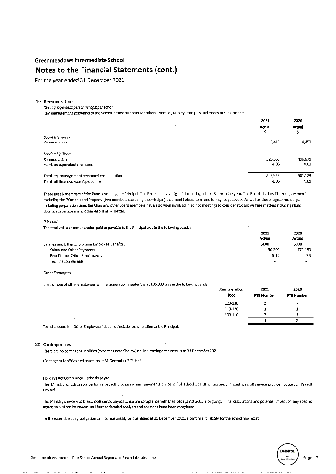# Notes to the Financial Statements (cont.)

For the year ended 31 December 2021

## 19 Remuneration

Key management personnel compensation

Key management personnel of the School include all Board Members, Principal, Deputy Principals and Heads of Departments.

|                                             | 2021<br>Actual | 2020<br>Actual<br>\$ |
|---------------------------------------------|----------------|----------------------|
| ٠                                           |                |                      |
| Board Members                               |                |                      |
| Remuneration                                | 3,415          | 4,459                |
| Leadership Team                             |                |                      |
| Remuneration                                | 526,538        | 496,670              |
| Full-time equivalent members                | 4.00           | 4.00                 |
| Total key management personnel remuneration | 529,953        | 501,129              |
| Total full-time equivalent personnel        | 4.00           | 4.00                 |

There are six members of the Board excluding the Principal. The Board had held eight full meetings of the Board in the year. The Board also has Finance (one member excluding the Principal) and Property (two members excluding the Principal) that meet twice a term and termly respectively. As well as these regular meetings, including preparation time, the Chair and other Board members have also been involved in ad hoc meetings to consider student welfare matters including stand downs, suspensions, and other disciplinary matters.

## Principal

The total value of remuneration paid or payable to the Principal was in the following bands:

|                                                  | 2021<br>Actual           | 2020<br>Actual |
|--------------------------------------------------|--------------------------|----------------|
| Salaries and Other Short-term Employee Benefits: | \$000                    | \$000          |
| Salary and Other Payments                        | 190-200                  | 170 180        |
| Benefits and Other Emoluments                    | $5 - 10$                 | $0 - 5$        |
| Termination Benefits                             | $\overline{\phantom{0}}$ | $\sim$         |

#### Other Employees

The number of other employees with remuneration greater than \$100,000 was in the following bands:

|                                                                                      | Remuneration<br>\$000 | 2021<br><b>FTE Number</b> | 2020<br>FTE Number |
|--------------------------------------------------------------------------------------|-----------------------|---------------------------|--------------------|
|                                                                                      | 120-130               |                           | -                  |
|                                                                                      | 110-120               |                           |                    |
|                                                                                      | 100-110               |                           |                    |
|                                                                                      |                       |                           |                    |
| The disclosure for 'Other Employees' does not include remuneration of the Principal. |                       |                           |                    |

#### 20 Contingencies

There are no contingent liabilities (except as noted below) and no contingent assets as at 31 December 2021.

(Contingent liabilities and assets as at 31 December 2020: nil)

#### Holidays Act Compliance - schools payroll

The Ministry of Education performs payroll processing and payments on behalf of school boards of trustees, through payroll service provider Education Payroll Limited.

The Ministry's review of the schools sector payroll to ensure compliance with the Holidays Act 2003 is ongoing. Final calculations and potential impact on any specific individual will not be known until further detailed analysis and solutions have been completed.

To the extent that any obligation cannot reasonably be quantified at 31 December 2021, a contingent liability for the school may exist.

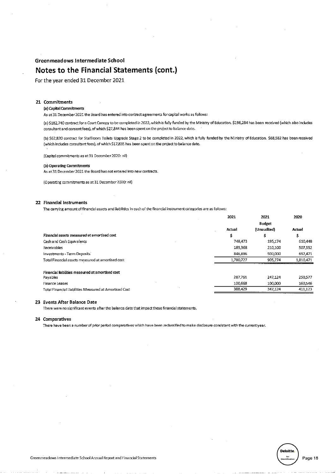# Notes to the Financial Statements (cont.)

For the year ended 31 December 2021

# 21 Commitments

# (a) Capital Commitments

As at 31 December 2021 the Board has entered into contract agreements for capital works as follows:

(a) \$182,740 contract for a Court Canopy to be completed in 2022, which is fully funded by the Ministry of Education. \$196,284 has been received (which also includes consultant and consent fees), of which \$27,844 has been spent on the project to balance date.

(b) \$62,820 contract for Staffroom Toilets Upgrade Stage 2 to be completed in 2022, which is fully funded by the Ministry of Education. \$68,582 has been received (which includes consultant fees), of which \$17,835 has been spent on the project to balance date.

(Capital commitments as at 31 December 2020: nil)

#### (b) Operating Commitments

As at 31 December 2021 the Board has not entered into new contracts.

(Operating commitments as at 31 December 2020: nil)

## 22 Financial Instruments

The carrying amount of financial assets and ilabilities in each of the financial instrument categories are as follows:

|                                                        | 2021      | 2021          | 2020      |
|--------------------------------------------------------|-----------|---------------|-----------|
|                                                        |           | <b>Budget</b> |           |
|                                                        | Actual    | (Unaudited)   | Actual    |
| Financial assets measured at amortised cost            | \$        | 5             | \$        |
| Cash and Cash Equivalents                              | 748,473   | 195.174       | 610.448   |
| Receivables                                            | 185.368   | 210.100       | 507,552   |
| Investments - Term Deposits                            | 846,886   | 500,000       | 692,471   |
| Total Financial assets measured at amortised cost      | 1,780,727 | 905.274       | 1,810,471 |
|                                                        |           |               |           |
| Financial liabilities measured at amortised cost       |           |               |           |
| Payables                                               | 287,761   | 247.124       | 250.577   |
| <b>Finance Leases</b>                                  | 100.668   | 100,000       | 160.546   |
| Total Financial Liabilities Measured at Amortised Cost | 388.429   | 347,124       | 411.123   |
|                                                        |           |               |           |

## 23 Events After Balance Date

There were no significant events after the balance date that impact these financial statements.

# 24 Comparatives

There have been a number of prior period comparatives which have been reclassified to make disclosure consistent with the current year.



Page 18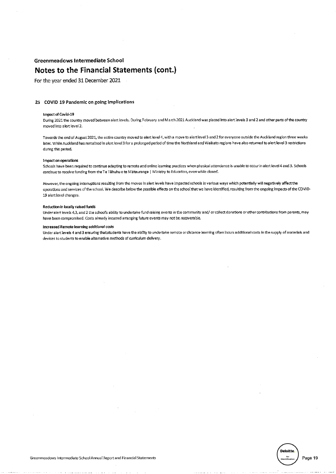For the year ended 31 December 2021

## 25 COVID 19 Pandemic on going implications

#### **Impact of Covid-19**

During 2021 the country moved between alert levels. During February and March 2021 Auckland was placed into alert levels 3 and 2 and other parts of the country moved into alert level 2.

Towards the end of August 2021, the entire country moved to alert level 4, with a move to alert level 3 and 2 for everyone outside the Auckland region three weeks later. While Auckland has remained in alert level 3 for a prolonged period of time the Northland and Waikato regions have also returned to alert level 3 restrictions during this period.

#### Impact on operations

Schools have been required to continue adapting to remote and online learning practices when physical attendance is unable to occur in alert level 4 and 3. Schools continue to receive funding from the Te Tāhuhu o te Mātauranga | Ministry to Education, even while closed.

However, the ongoing interruptions resulting from the moves in alert levels have impacted schools in various ways which potentially will negatively affect the operations and services of the school. We describe below the possible effects on the school that we have identified, resulting from the ongoing impacts of the COVID-19 alert level changes.

#### Reduction in locally raised funds

Under alert levels 4,3, and 2 the school's ability to undertake fund raising events in the community and/or collect donations or other contributions from parents, may have been compromised. Costs already incurred arranging future events may not be recoverable.

#### Increased Remote learning additional costs

Under alert levels 4 and 3 ensuring that students have the ability to undertake remote or distance learning often incurs additional costs in the supply of materials and devices to students to enable alternative methods of curriculum delivery.

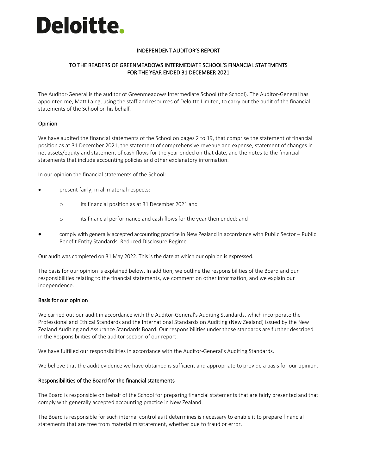# Deloitte.

# INDEPENDENT AUDITOR'S REPORT

# TO THE READERS OF GREENMEADOWS INTERMEDIATE SCHOOL'S FINANCIAL STATEMENTS FOR THE YEAR ENDED 31 DECEMBER 2021

The Auditor-General is the auditor of Greenmeadows Intermediate School (the School). The Auditor-General has appointed me, Matt Laing, using the staff and resources of Deloitte Limited, to carry out the audit of the financial statements of the School on his behalf.

# Opinion

We have audited the financial statements of the School on pages 2 to 19, that comprise the statement of financial position as at 31 December 2021, the statement of comprehensive revenue and expense, statement of changes in net assets/equity and statement of cash flows for the year ended on that date, and the notes to the financial statements that include accounting policies and other explanatory information.

In our opinion the financial statements of the School:

- present fairly, in all material respects:
	- o its financial position as at 31 December 2021 and
	- o its financial performance and cash flows for the year then ended; and
- comply with generally accepted accounting practice in New Zealand in accordance with Public Sector Public Benefit Entity Standards, Reduced Disclosure Regime.

Our audit was completed on 31 May 2022. This is the date at which our opinion is expressed.

The basis for our opinion is explained below. In addition, we outline the responsibilities of the Board and our responsibilities relating to the financial statements, we comment on other information, and we explain our independence.

# Basis for our opinion

We carried out our audit in accordance with the Auditor-General's Auditing Standards, which incorporate the Professional and Ethical Standards and the International Standards on Auditing (New Zealand) issued by the New Zealand Auditing and Assurance Standards Board. Our responsibilities under those standards are further described in the Responsibilities of the auditor section of our report.

We have fulfilled our responsibilities in accordance with the Auditor-General's Auditing Standards.

We believe that the audit evidence we have obtained is sufficient and appropriate to provide a basis for our opinion.

# Responsibilities of the Board for the financial statements

The Board is responsible on behalf of the School for preparing financial statements that are fairly presented and that comply with generally accepted accounting practice in New Zealand.

The Board is responsible for such internal control as it determines is necessary to enable it to prepare financial statements that are free from material misstatement, whether due to fraud or error.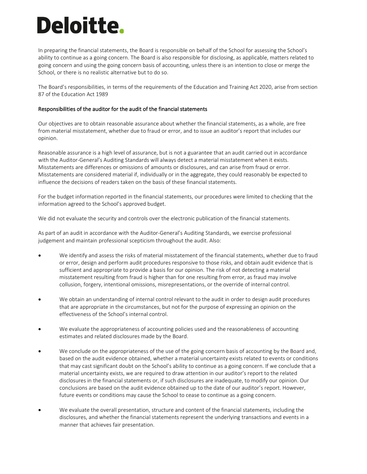# Deloitte.

In preparing the financial statements, the Board is responsible on behalf of the School for assessing the School's ability to continue as a going concern. The Board is also responsible for disclosing, as applicable, matters related to going concern and using the going concern basis of accounting, unless there is an intention to close or merge the School, or there is no realistic alternative but to do so.

The Board's responsibilities, in terms of the requirements of the Education and Training Act 2020, arise from section 87 of the Education Act 1989

# Responsibilities of the auditor for the audit of the financial statements

Our objectives are to obtain reasonable assurance about whether the financial statements, as a whole, are free from material misstatement, whether due to fraud or error, and to issue an auditor's report that includes our opinion.

Reasonable assurance is a high level of assurance, but is not a guarantee that an audit carried out in accordance with the Auditor-General's Auditing Standards will always detect a material misstatement when it exists. Misstatements are differences or omissions of amounts or disclosures, and can arise from fraud or error. Misstatements are considered material if, individually or in the aggregate, they could reasonably be expected to influence the decisions of readers taken on the basis of these financial statements.

For the budget information reported in the financial statements, our procedures were limited to checking that the information agreed to the School's approved budget.

We did not evaluate the security and controls over the electronic publication of the financial statements.

As part of an audit in accordance with the Auditor-General's Auditing Standards, we exercise professional judgement and maintain professional scepticism throughout the audit. Also:

- We identify and assess the risks of material misstatement of the financial statements, whether due to fraud or error, design and perform audit procedures responsive to those risks, and obtain audit evidence that is sufficient and appropriate to provide a basis for our opinion. The risk of not detecting a material misstatement resulting from fraud is higher than for one resulting from error, as fraud may involve collusion, forgery, intentional omissions, misrepresentations, or the override of internal control.
- We obtain an understanding of internal control relevant to the audit in order to design audit procedures that are appropriate in the circumstances, but not for the purpose of expressing an opinion on the effectiveness of the School's internal control.
- We evaluate the appropriateness of accounting policies used and the reasonableness of accounting estimates and related disclosures made by the Board.
- We conclude on the appropriateness of the use of the going concern basis of accounting by the Board and, based on the audit evidence obtained, whether a material uncertainty exists related to events or conditions that may cast significant doubt on the School's ability to continue as a going concern. If we conclude that a material uncertainty exists, we are required to draw attention in our auditor's report to the related disclosures in the financial statements or, if such disclosures are inadequate, to modify our opinion. Our conclusions are based on the audit evidence obtained up to the date of our auditor's report. However, future events or conditions may cause the School to cease to continue as a going concern.
- We evaluate the overall presentation, structure and content of the financial statements, including the disclosures, and whether the financial statements represent the underlying transactions and events in a manner that achieves fair presentation.